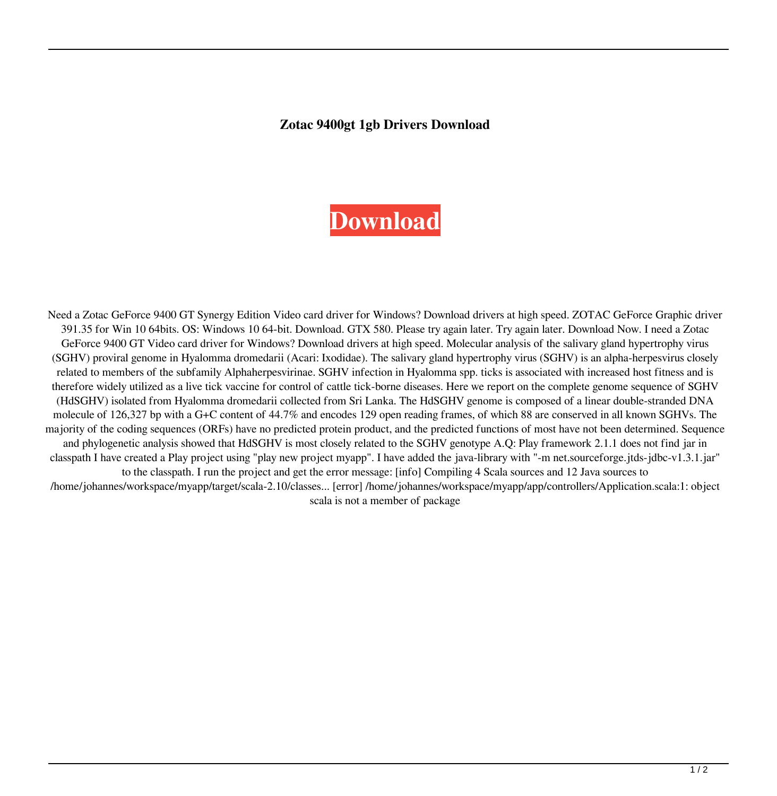## **Zotac 9400gt 1gb Drivers Download**

## **[Download](http://evacdir.com/freshmen/ingar/osier/balconies&practising/ZG93bmxvYWR8UTZxTW5Nd1lYeDhNVFkxTWpjME1EZzJObng4TWpVM05IeDhLRTBwSUhKbFlXUXRZbXh2WnlCYlJtRnpkQ0JIUlU1ZA/loyal?em90YWMgOTQwMGd0IDFnYiBkcml2ZXJzIGRvd25sb2Fkem9=unlock)**

Need a Zotac GeForce 9400 GT Synergy Edition Video card driver for Windows? Download drivers at high speed. ZOTAC GeForce Graphic driver 391.35 for Win 10 64bits. OS: Windows 10 64-bit. Download. GTX 580. Please try again later. Try again later. Download Now. I need a Zotac GeForce 9400 GT Video card driver for Windows? Download drivers at high speed. Molecular analysis of the salivary gland hypertrophy virus (SGHV) proviral genome in Hyalomma dromedarii (Acari: Ixodidae). The salivary gland hypertrophy virus (SGHV) is an alpha-herpesvirus closely related to members of the subfamily Alphaherpesvirinae. SGHV infection in Hyalomma spp. ticks is associated with increased host fitness and is therefore widely utilized as a live tick vaccine for control of cattle tick-borne diseases. Here we report on the complete genome sequence of SGHV (HdSGHV) isolated from Hyalomma dromedarii collected from Sri Lanka. The HdSGHV genome is composed of a linear double-stranded DNA molecule of 126,327 bp with a G+C content of 44.7% and encodes 129 open reading frames, of which 88 are conserved in all known SGHVs. The majority of the coding sequences (ORFs) have no predicted protein product, and the predicted functions of most have not been determined. Sequence and phylogenetic analysis showed that HdSGHV is most closely related to the SGHV genotype A.Q: Play framework 2.1.1 does not find jar in classpath I have created a Play project using "play new project myapp". I have added the java-library with "-m net.sourceforge.jtds-jdbc-v1.3.1.jar" to the classpath. I run the project and get the error message: [info] Compiling 4 Scala sources and 12 Java sources to /home/johannes/workspace/myapp/target/scala-2.10/classes... [error] /home/johannes/workspace/myapp/app/controllers/Application.scala:1: object scala is not a member of package